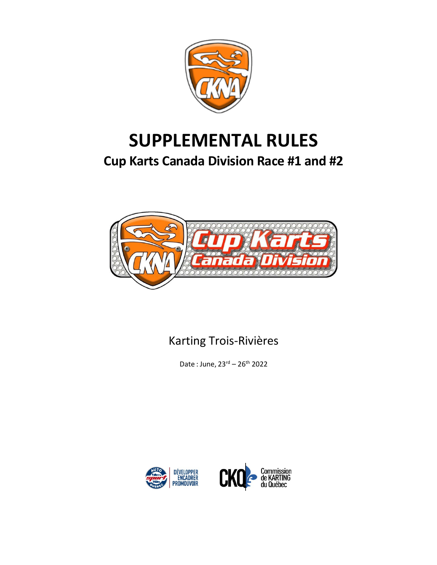

# **SUPPLEMENTAL RULES**

# **Cup Karts Canada Division Race #1 and #2**



# Karting Trois-Rivières

Date : June, 23rd – 26th 2022



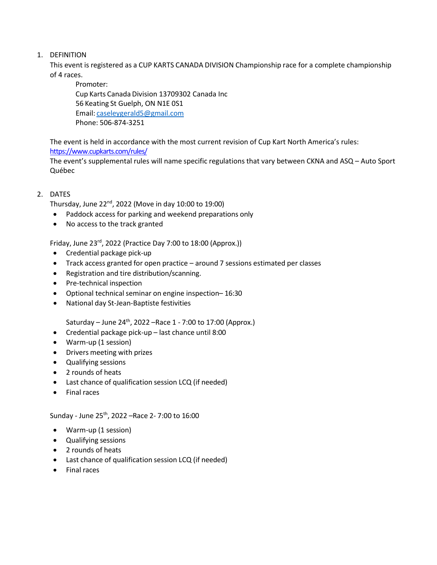# 1. DEFINITION

This event is registered as a CUP KARTS CANADA DIVISION Championship race for a complete championship of 4 races.

Promoter: Cup Karts Canada Division 13709302 Canada Inc 56 Keating St Guelph, ON N1E 0S1 Email: [caseleygerald5@gmail.com](mailto:caseleygerald5@gmail.com)  Phone: 506-874-3251

The event is held in accordance with the most current revision of Cup Kart North America's rules: <https://www.cupkarts.com/rules/>

The event's supplemental rules will name specific regulations that vary between CKNA and ASQ – Auto Sport Québec

## 2. DATES

Thursday, June 22nd, 2022 (Move in day 10:00 to 19:00)

- Paddock access for parking and weekend preparations only
- No access to the track granted

Friday, June 23rd, 2022 (Practice Day 7:00 to 18:00 (Approx.))

- Credential package pick-up
- Track access granted for open practice around 7 sessions estimated per classes
- Registration and tire distribution/scanning.
- Pre-technical inspection
- Optional technical seminar on engine inspection–16:30
- National day St-Jean-Baptiste festivities

Saturday – June  $24^{th}$ , 2022 – Race 1 - 7:00 to 17:00 (Approx.)

- Credential package pick-up last chance until 8:00
- Warm-up (1 session)
- Drivers meeting with prizes
- Qualifying sessions
- 2 rounds of heats
- Last chance of qualification session LCQ (if needed)
- Final races

Sunday - June 25th, 2022 –Race 2- 7:00 to 16:00

- Warm-up (1 session)
- Qualifying sessions
- 2 rounds of heats
- Last chance of qualification session LCQ (if needed)
- Final races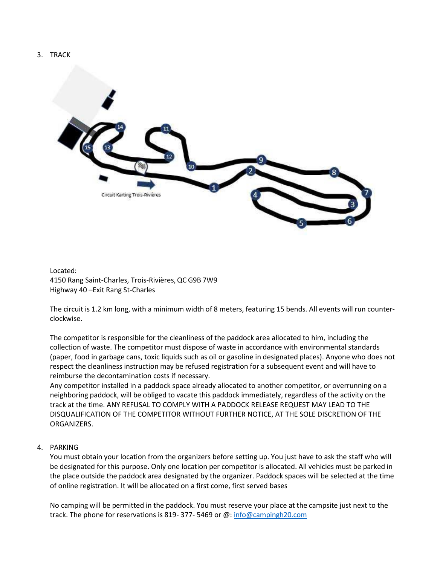#### 3. TRACK



Located: 4150 Rang Saint-Charles, Trois-Rivières,QC G9B 7W9 Highway 40 –Exit Rang St-Charles

The circuit is 1.2 km long, with a minimum width of 8 meters, featuring 15 bends. All events will run counterclockwise.

The competitor is responsible for the cleanliness of the paddock area allocated to him, including the collection of waste. The competitor must dispose of waste in accordance with environmental standards (paper, food in garbage cans, toxic liquids such as oil or gasoline in designated places). Anyone who does not respect the cleanliness instruction may be refused registration for a subsequent event and will have to reimburse the decontamination costs if necessary.

Any competitor installed in a paddock space already allocated to another competitor, or overrunning on a neighboring paddock, will be obliged to vacate this paddock immediately, regardless of the activity on the track at the time. ANY REFUSAL TO COMPLY WITH A PADDOCK RELEASE REQUEST MAY LEAD TO THE DISQUALIFICATION OF THE COMPETITOR WITHOUT FURTHER NOTICE, AT THE SOLE DISCRETION OF THE ORGANIZERS.

#### 4. PARKING

You must obtain your location from the organizers before setting up. You just have to ask the staff who will be designated for this purpose. Only one location per competitor is allocated. All vehicles must be parked in the place outside the paddock area designated by the organizer. Paddock spaces will be selected at the time of online registration. It will be allocated on a first come, first served bases

No camping will be permitted in the paddock. You must reserve your place at the campsite just next to the track. The phone for reservations is 819- 377- 5469 or @: [info@campingh20.com](mailto:info@campingh20.com)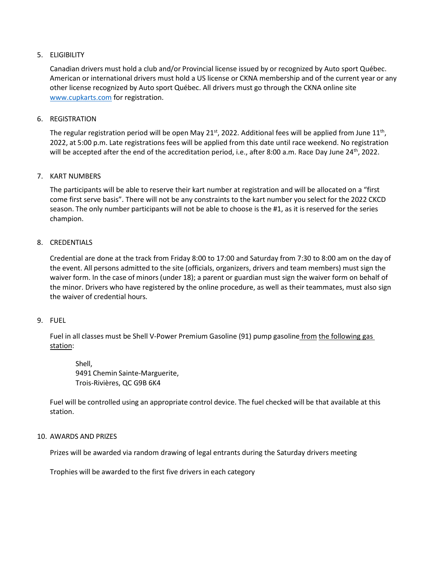#### 5. ELIGIBILITY

Canadian drivers must hold a club and/or Provincial license issued by or recognized by Auto sport Québec. American or international drivers must hold a US license or CKNA membership and of the current year or any other license recognized by Auto sport Québec. All drivers must go through the CKNA online site [www.cupkarts.com](https://www.cupkarts.com/) for registration.

#### 6. REGISTRATION

The regular registration period will be open May 21<sup>st</sup>, 2022. Additional fees will be applied from June 11<sup>th</sup>, 2022, at 5:00 p.m. Late registrations fees will be applied from this date until race weekend. No registration will be accepted after the end of the accreditation period, i.e., after 8:00 a.m. Race Day June 24<sup>th</sup>, 2022.

#### 7. KART NUMBERS

The participants will be able to reserve their kart number at registration and will be allocated on a "first come first serve basis". There will not be any constraints to the kart number you select for the 2022 CKCD season. The only number participants will not be able to choose is the #1, as it is reserved for the series champion.

#### 8. CREDENTIALS

Credential are done at the track from Friday 8:00 to 17:00 and Saturday from 7:30 to 8:00 am on the day of the event. All persons admitted to the site (officials, organizers, drivers and team members) must sign the waiver form. In the case of minors (under 18); a parent or guardian must sign the waiver form on behalf of the minor. Drivers who have registered by the online procedure, as well as their teammates, must also sign the waiver of credential hours.

#### 9. FUEL

Fuel in all classes must be Shell V-Power Premium Gasoline (91) pump gasoline from the following gas station:

Shell, 9491 Chemin Sainte-Marguerite, Trois-Rivières, QC G9B 6K4

Fuel will be controlled using an appropriate control device. The fuel checked will be that available at this station.

#### 10. AWARDS AND PRIZES

Prizes will be awarded via random drawing of legal entrants during the Saturday drivers meeting

Trophies will be awarded to the first five drivers in each category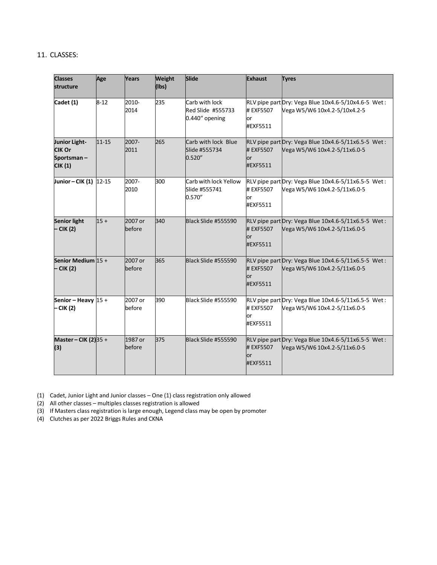#### 11. CLASSES:

| <b>Classes</b><br>structure                             | Age       | Years             | <b>Weight</b><br>$(\mathsf{Ibs})$ | Slide                                                 | <b>Exhaust</b>               | <b>Tyres</b>                                                                        |
|---------------------------------------------------------|-----------|-------------------|-----------------------------------|-------------------------------------------------------|------------------------------|-------------------------------------------------------------------------------------|
| Cadet (1)                                               | $8 - 12$  | 2010-<br>2014     | 235                               | Carb with lock<br>Red Slide #555733<br>0.440" opening | # EXF5507<br>lor<br>#EXF5511 | RLV pipe part Dry: Vega Blue 10x4.6-5/10x4.6-5 Wet:<br>Vega W5/W6 10x4.2-5/10x4.2-5 |
| Junior Light-<br><b>CIK Or</b><br>Sportsman-<br>CIK (1) | $11 - 15$ | 2007-<br>2011     | 265                               | Carb with lock Blue<br>Slide #555734<br>0.520''       | # EXF5507<br>lor<br>#EXF5511 | RLV pipe part Dry: Vega Blue 10x4.6-5/11x6.5-5 Wet:<br>Vega W5/W6 10x4.2-5/11x6.0-5 |
| Junior-CIK (1) 12-15                                    |           | 2007-<br>2010     | 300                               | Carb with lock Yellow<br>Slide #555741<br>0.570''     | # EXF5507<br>or<br>#EXF5511  | RLV pipe part Dry: Vega Blue 10x4.6-5/11x6.5-5 Wet:<br>Vega W5/W6 10x4.2-5/11x6.0-5 |
| <b>Senior light</b><br>– CIK (2)                        | $15+$     | 2007 or<br>before | 340                               | Black Slide #555590                                   | # EXF5507<br>lor<br>#EXF5511 | RLV pipe part Dry: Vega Blue 10x4.6-5/11x6.5-5 Wet:<br>Vega W5/W6 10x4.2-5/11x6.0-5 |
| Senior Medium $15 +$<br>- CIK (2)                       |           | 2007 or<br>before | 365                               | Black Slide #555590                                   | # EXF5507<br>lor<br>#EXF5511 | RLV pipe part Dry: Vega Blue 10x4.6-5/11x6.5-5 Wet:<br>Vega W5/W6 10x4.2-5/11x6.0-5 |
| Senior - Heavy $15 +$<br>– CIK (2)                      |           | 2007 or<br>before | 390                               | Black Slide #555590                                   | # EXF5507<br>or<br>#EXF5511  | RLV pipe part Dry: Vega Blue 10x4.6-5/11x6.5-5 Wet:<br>Vega W5/W6 10x4.2-5/11x6.0-5 |
| Master – CIK (2) 35 +<br>(3)                            |           | 1987 or<br>before | 375                               | Black Slide #555590                                   | # EXF5507<br>lor<br>#EXF5511 | RLV pipe part Dry: Vega Blue 10x4.6-5/11x6.5-5 Wet:<br>Vega W5/W6 10x4.2-5/11x6.0-5 |

(1) Cadet, Junior Light and Junior classes – One (1) class registration only allowed

(2) All other classes – multiples classes registration is allowed

(3) If Masters class registration is large enough, Legend class may be open by promoter

(4) Clutches as per 2022 Briggs Rules and CKNA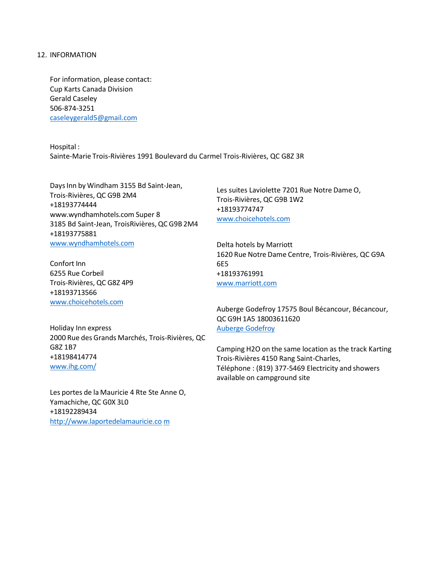#### 12. INFORMATION

For information, please contact: Cup Karts Canada Division Gerald Caseley 506-874-3251 [caseleygerald5@gmail.com](mailto:caseleygerald5@gmail.com) 

Hospital : Sainte-Marie Trois-Rivières 1991 Boulevard du Carmel Trois-Rivières, QC G8Z 3R

DaysInn by Windham 3155 Bd Saint-Jean, Trois-Rivières, QC G9B 2M4 +18193774444 [www.wyndhamhotels.com](http://www.wyndhamhotels.com/) Super 8 3185 Bd Saint-Jean, TroisRivières,QC G9B 2M4 +18193775881 [www.wyndhamhotels.com](http://www.wyndhamhotels.com/)

Confort Inn 6255 Rue Corbeil Trois-Rivières, QC G8Z 4P9 +18193713566 [www.choicehotels.com](http://www.choicehotels.com/)

Les suites Laviolette 7201 Rue Notre Dame O, Trois-Rivières, QC G9B 1W2 +18193774747 [www.choicehotels.com](http://www.choicehotels.com/)

Delta hotels by Marriott 1620 Rue Notre Dame Centre, Trois-Rivières, QC G9A 6E5 +18193761991 [www.marriott.com](http://www.marriott.com/)

Holiday Inn express 2000 Rue des Grands Marchés, Trois-Rivières, QC G8Z 1B7 +18198414774 [www.ihg.com/](http://www.ihg.com/)

Les portes de la Mauricie 4 Rte Ste Anne O, Yamachiche, QC G0X 3L0 +18192289434 [http://www.laportedelamauricie.co](http://www.laportedelamauricie.com/) [m](http://www.laportedelamauricie.com/)

Auberge Godefroy 17575 Boul Bécancour, Bécancour, QC G9H 1A5 18003611620 Auberge [Godefroy](https://bit.ly/3rCvI8Y)

Camping H2O on the same location as the track Karting Trois-Rivières 4150 Rang Saint-Charles, Téléphone : (819) 377-5469 Electricity and showers available on campground site